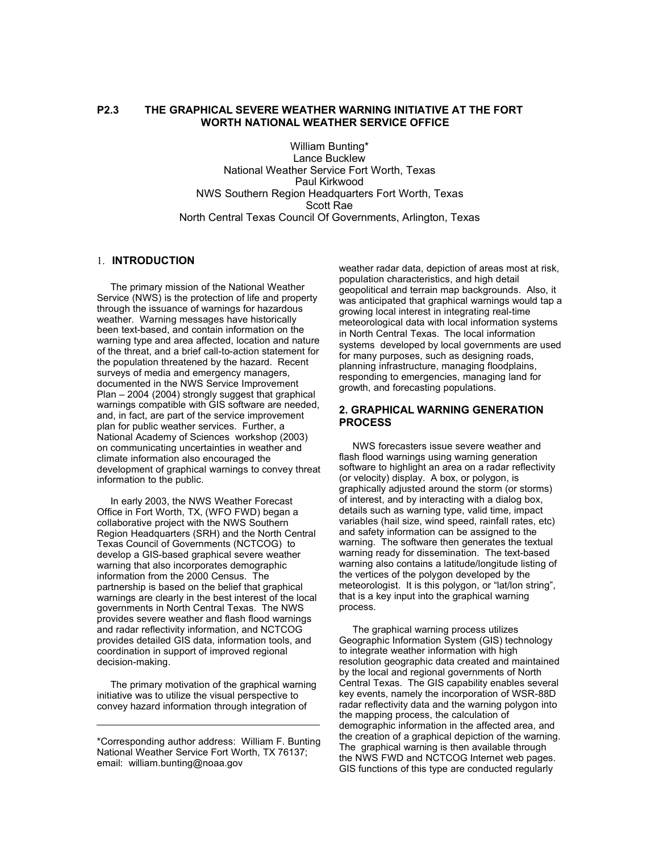# **P2.3 THE GRAPHICAL SEVERE WEATHER WARNING INITIATIVE AT THE FORT WORTH NATIONAL WEATHER SERVICE OFFICE**

William Bunting\* Lance Bucklew National Weather Service Fort Worth, Texas Paul Kirkwood NWS Southern Region Headquarters Fort Worth, Texas Scott Rae North Central Texas Council Of Governments, Arlington, Texas

### 1. **INTRODUCTION**

 The primary mission of the National Weather Service (NWS) is the protection of life and property through the issuance of warnings for hazardous weather. Warning messages have historically been text-based, and contain information on the warning type and area affected, location and nature of the threat, and a brief call-to-action statement for the population threatened by the hazard. Recent surveys of media and emergency managers, documented in the NWS Service Improvement Plan – 2004 (2004) strongly suggest that graphical warnings compatible with GIS software are needed, and, in fact, are part of the service improvement plan for public weather services. Further, a National Academy of Sciences workshop (2003) on communicating uncertainties in weather and climate information also encouraged the development of graphical warnings to convey threat information to the public.

 In early 2003, the NWS Weather Forecast Office in Fort Worth, TX, (WFO FWD) began a collaborative project with the NWS Southern Region Headquarters (SRH) and the North Central Texas Council of Governments (NCTCOG) to develop a GIS-based graphical severe weather warning that also incorporates demographic information from the 2000 Census. The partnership is based on the belief that graphical warnings are clearly in the best interest of the local governments in North Central Texas. The NWS provides severe weather and flash flood warnings and radar reflectivity information, and NCTCOG provides detailed GIS data, information tools, and coordination in support of improved regional decision-making.

 The primary motivation of the graphical warning initiative was to utilize the visual perspective to convey hazard information through integration of

weather radar data, depiction of areas most at risk, population characteristics, and high detail geopolitical and terrain map backgrounds. Also, it was anticipated that graphical warnings would tap a growing local interest in integrating real-time meteorological data with local information systems in North Central Texas. The local information systems developed by local governments are used for many purposes, such as designing roads, planning infrastructure, managing floodplains, responding to emergencies, managing land for growth, and forecasting populations.

#### **2. GRAPHICAL WARNING GENERATION PROCESS**

 NWS forecasters issue severe weather and flash flood warnings using warning generation software to highlight an area on a radar reflectivity (or velocity) display. A box, or polygon, is graphically adjusted around the storm (or storms) of interest, and by interacting with a dialog box, details such as warning type, valid time, impact variables (hail size, wind speed, rainfall rates, etc) and safety information can be assigned to the warning. The software then generates the textual warning ready for dissemination. The text-based warning also contains a latitude/longitude listing of the vertices of the polygon developed by the meteorologist. It is this polygon, or "lat/lon string", that is a key input into the graphical warning process.

 The graphical warning process utilizes Geographic Information System (GIS) technology to integrate weather information with high resolution geographic data created and maintained by the local and regional governments of North Central Texas. The GIS capability enables several key events, namely the incorporation of WSR-88D radar reflectivity data and the warning polygon into the mapping process, the calculation of demographic information in the affected area, and the creation of a graphical depiction of the warning. The graphical warning is then available through the NWS FWD and NCTCOG Internet web pages. GIS functions of this type are conducted regularly

<sup>\*</sup>Corresponding author address: William F. Bunting National Weather Service Fort Worth, TX 76137; email: william.bunting@noaa.gov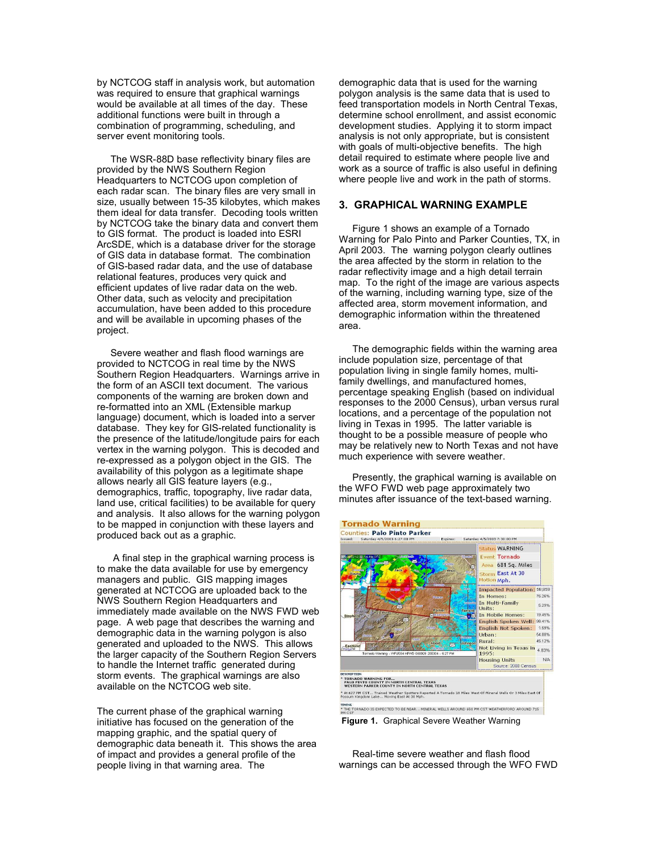by NCTCOG staff in analysis work, but automation was required to ensure that graphical warnings would be available at all times of the day. These additional functions were built in through a combination of programming, scheduling, and server event monitoring tools.

 The WSR-88D base reflectivity binary files are provided by the NWS Southern Region Headquarters to NCTCOG upon completion of each radar scan. The binary files are very small in size, usually between 15-35 kilobytes, which makes them ideal for data transfer. Decoding tools written by NCTCOG take the binary data and convert them to GIS format. The product is loaded into ESRI ArcSDE, which is a database driver for the storage of GIS data in database format. The combination of GIS-based radar data, and the use of database relational features, produces very quick and efficient updates of live radar data on the web. Other data, such as velocity and precipitation accumulation, have been added to this procedure and will be available in upcoming phases of the project.

 Severe weather and flash flood warnings are provided to NCTCOG in real time by the NWS Southern Region Headquarters. Warnings arrive in the form of an ASCII text document. The various components of the warning are broken down and re-formatted into an XML (Extensible markup language) document, which is loaded into a server database. They key for GIS-related functionality is the presence of the latitude/longitude pairs for each vertex in the warning polygon. This is decoded and re-expressed as a polygon object in the GIS. The availability of this polygon as a legitimate shape allows nearly all GIS feature layers (e.g., demographics, traffic, topography, live radar data, land use, critical facilities) to be available for query and analysis. It also allows for the warning polygon to be mapped in conjunction with these layers and produced back out as a graphic.

 A final step in the graphical warning process is to make the data available for use by emergency managers and public. GIS mapping images generated at NCTCOG are uploaded back to the NWS Southern Region Headquarters and immediately made available on the NWS FWD web page. A web page that describes the warning and demographic data in the warning polygon is also generated and uploaded to the NWS. This allows the larger capacity of the Southern Region Servers to handle the Internet traffic generated during storm events. The graphical warnings are also available on the NCTCOG web site.

The current phase of the graphical warning initiative has focused on the generation of the mapping graphic, and the spatial query of demographic data beneath it. This shows the area of impact and provides a general profile of the people living in that warning area. The

demographic data that is used for the warning polygon analysis is the same data that is used to feed transportation models in North Central Texas, determine school enrollment, and assist economic development studies. Applying it to storm impact analysis is not only appropriate, but is consistent with goals of multi-objective benefits. The high detail required to estimate where people live and work as a source of traffic is also useful in defining where people live and work in the path of storms.

## **3. GRAPHICAL WARNING EXAMPLE**

 Figure 1 shows an example of a Tornado Warning for Palo Pinto and Parker Counties, TX, in April 2003. The warning polygon clearly outlines the area affected by the storm in relation to the radar reflectivity image and a high detail terrain map. To the right of the image are various aspects of the warning, including warning type, size of the affected area, storm movement information, and demographic information within the threatened area.

 The demographic fields within the warning area include population size, percentage of that population living in single family homes, multifamily dwellings, and manufactured homes, percentage speaking English (based on individual responses to the 2000 Census), urban versus rural locations, and a percentage of the population not living in Texas in 1995. The latter variable is thought to be a possible measure of people who may be relatively new to North Texas and not have much experience with severe weather.

 Presently, the graphical warning is available on the WFO FWD web page approximately two minutes after issuance of the text-based warning.



 Real-time severe weather and flash flood warnings can be accessed through the WFO FWD